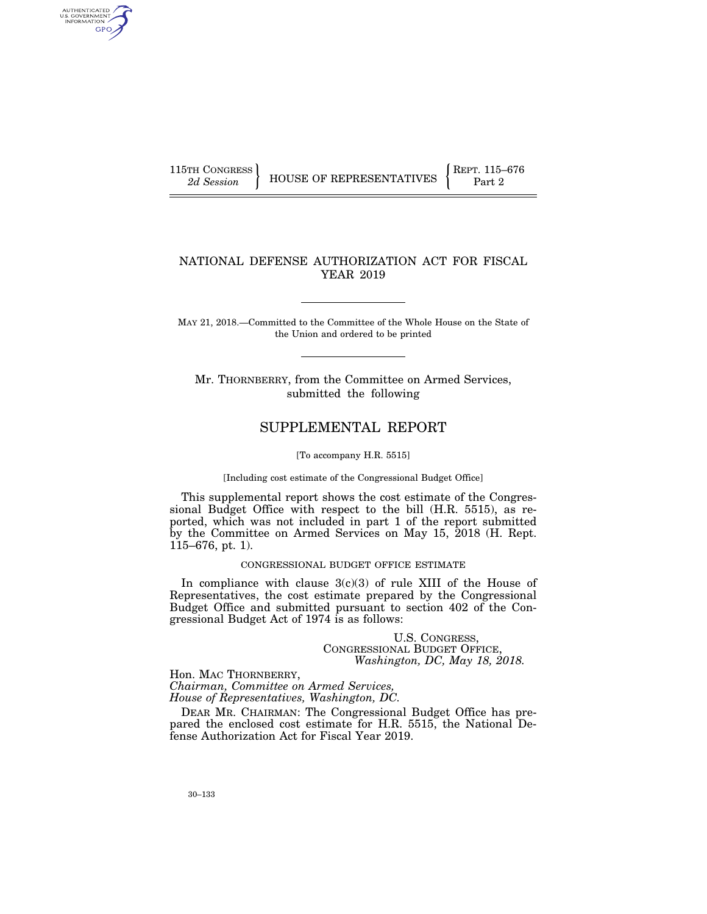AUTHENTICATED<br>U.S. GOVERNMENT<br>INFORMATION **GPO** 

115TH CONGRESS **REPRESENTATIVES** REPRESENTATIVES **Part 2** Part 2

# NATIONAL DEFENSE AUTHORIZATION ACT FOR FISCAL YEAR 2019

MAY 21, 2018.—Committed to the Committee of the Whole House on the State of the Union and ordered to be printed

Mr. THORNBERRY, from the Committee on Armed Services, submitted the following

# SUPPLEMENTAL REPORT

[To accompany H.R. 5515]

[Including cost estimate of the Congressional Budget Office]

This supplemental report shows the cost estimate of the Congressional Budget Office with respect to the bill (H.R. 5515), as reported, which was not included in part 1 of the report submitted by the Committee on Armed Services on May 15, 2018 (H. Rept. 115–676, pt. 1).

# CONGRESSIONAL BUDGET OFFICE ESTIMATE

In compliance with clause 3(c)(3) of rule XIII of the House of Representatives, the cost estimate prepared by the Congressional Budget Office and submitted pursuant to section 402 of the Congressional Budget Act of 1974 is as follows:

> U.S. CONGRESS, CONGRESSIONAL BUDGET OFFICE, *Washington, DC, May 18, 2018.*

Hon. MAC THORNBERRY, *Chairman, Committee on Armed Services, House of Representatives, Washington, DC.* 

DEAR MR. CHAIRMAN: The Congressional Budget Office has prepared the enclosed cost estimate for H.R. 5515, the National Defense Authorization Act for Fiscal Year 2019.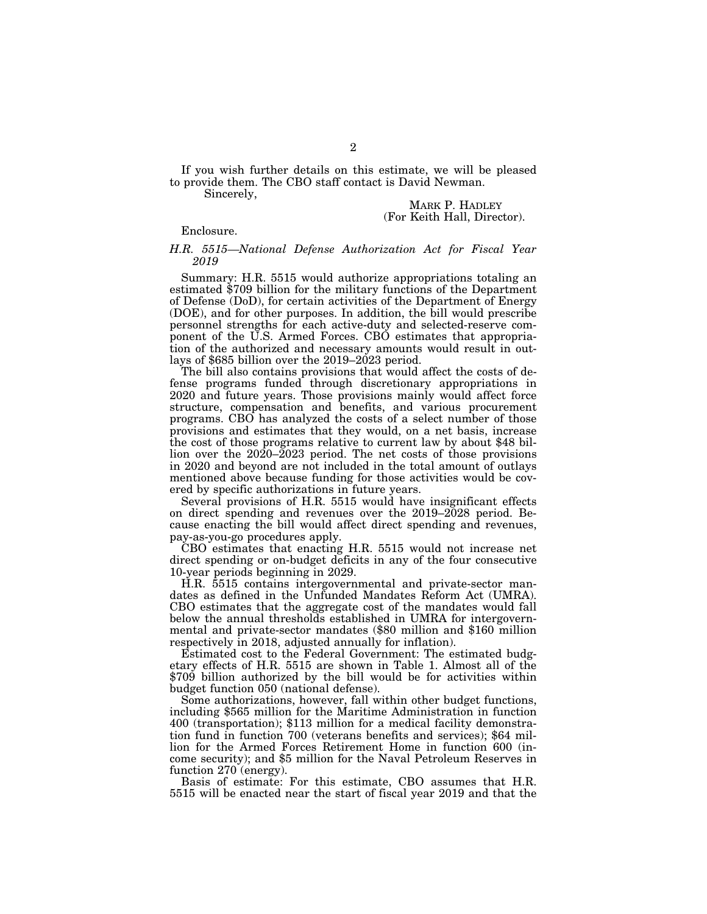If you wish further details on this estimate, we will be pleased to provide them. The CBO staff contact is David Newman.

Sincerely,

MARK P. HADLEY (For Keith Hall, Director).

Enclosure.

### *H.R. 5515—National Defense Authorization Act for Fiscal Year 2019*

Summary: H.R. 5515 would authorize appropriations totaling an estimated \$709 billion for the military functions of the Department of Defense (DoD), for certain activities of the Department of Energy (DOE), and for other purposes. In addition, the bill would prescribe personnel strengths for each active-duty and selected-reserve component of the U.S. Armed Forces. CBO estimates that appropriation of the authorized and necessary amounts would result in outlays of \$685 billion over the 2019–2023 period.

The bill also contains provisions that would affect the costs of defense programs funded through discretionary appropriations in 2020 and future years. Those provisions mainly would affect force structure, compensation and benefits, and various procurement programs. CBO has analyzed the costs of a select number of those provisions and estimates that they would, on a net basis, increase the cost of those programs relative to current law by about \$48 billion over the 2020–2023 period. The net costs of those provisions in 2020 and beyond are not included in the total amount of outlays mentioned above because funding for those activities would be covered by specific authorizations in future years.

Several provisions of H.R. 5515 would have insignificant effects on direct spending and revenues over the 2019–2028 period. Because enacting the bill would affect direct spending and revenues, pay-as-you-go procedures apply.

CBO estimates that enacting H.R. 5515 would not increase net direct spending or on-budget deficits in any of the four consecutive 10-year periods beginning in 2029.

H.R. 5515 contains intergovernmental and private-sector mandates as defined in the Unfunded Mandates Reform Act (UMRA). CBO estimates that the aggregate cost of the mandates would fall below the annual thresholds established in UMRA for intergovernmental and private-sector mandates (\$80 million and \$160 million respectively in 2018, adjusted annually for inflation).

Estimated cost to the Federal Government: The estimated budgetary effects of H.R. 5515 are shown in Table 1. Almost all of the \$709 billion authorized by the bill would be for activities within budget function 050 (national defense).

Some authorizations, however, fall within other budget functions, including \$565 million for the Maritime Administration in function 400 (transportation); \$113 million for a medical facility demonstration fund in function 700 (veterans benefits and services); \$64 million for the Armed Forces Retirement Home in function 600 (income security); and \$5 million for the Naval Petroleum Reserves in function 270 (energy).

Basis of estimate: For this estimate, CBO assumes that H.R. 5515 will be enacted near the start of fiscal year 2019 and that the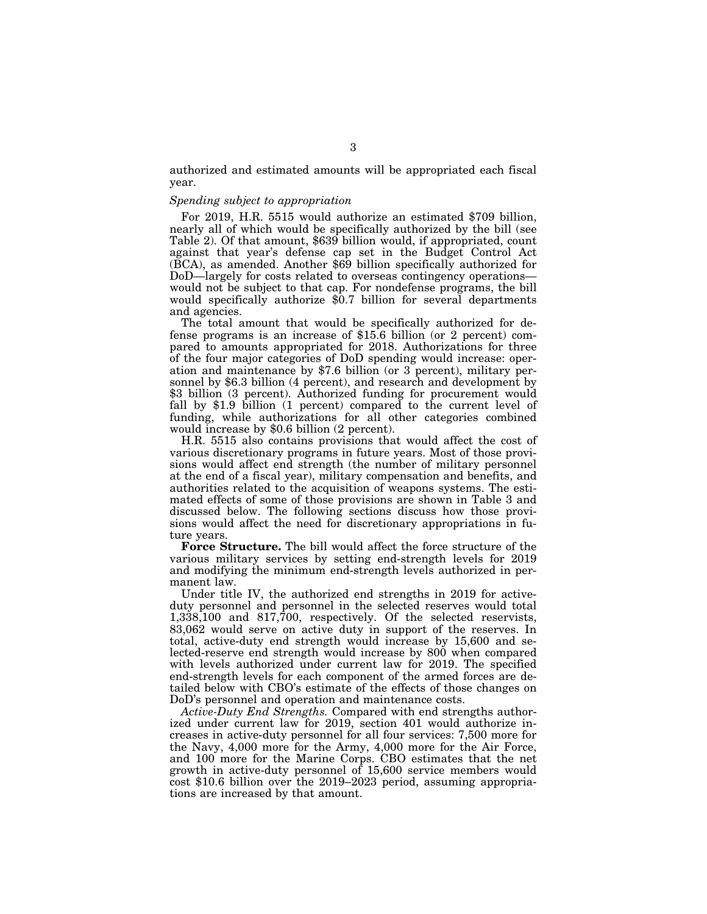authorized and estimated amounts will be appropriated each fiscal year.

# *Spending subject to appropriation*

For 2019, H.R. 5515 would authorize an estimated \$709 billion, nearly all of which would be specifically authorized by the bill (see Table 2). Of that amount, \$639 billion would, if appropriated, count against that year's defense cap set in the Budget Control Act (BCA), as amended. Another \$69 billion specifically authorized for DoD—largely for costs related to overseas contingency operations would not be subject to that cap. For nondefense programs, the bill would specifically authorize \$0.7 billion for several departments and agencies.

The total amount that would be specifically authorized for defense programs is an increase of \$15.6 billion (or 2 percent) compared to amounts appropriated for 2018. Authorizations for three of the four major categories of DoD spending would increase: operation and maintenance by \$7.6 billion (or 3 percent), military personnel by \$6.3 billion (4 percent), and research and development by \$3 billion (3 percent). Authorized funding for procurement would fall by \$1.9 billion (1 percent) compared to the current level of funding, while authorizations for all other categories combined would increase by \$0.6 billion (2 percent).

H.R. 5515 also contains provisions that would affect the cost of various discretionary programs in future years. Most of those provisions would affect end strength (the number of military personnel at the end of a fiscal year), military compensation and benefits, and authorities related to the acquisition of weapons systems. The estimated effects of some of those provisions are shown in Table 3 and discussed below. The following sections discuss how those provisions would affect the need for discretionary appropriations in future years.

**Force Structure.** The bill would affect the force structure of the various military services by setting end-strength levels for 2019 and modifying the minimum end-strength levels authorized in permanent law.

Under title IV, the authorized end strengths in 2019 for activeduty personnel and personnel in the selected reserves would total 1,338,100 and 817,700, respectively. Of the selected reservists, 83,062 would serve on active duty in support of the reserves. In total, active-duty end strength would increase by 15,600 and selected-reserve end strength would increase by 800 when compared with levels authorized under current law for 2019. The specified end-strength levels for each component of the armed forces are detailed below with CBO's estimate of the effects of those changes on DoD's personnel and operation and maintenance costs.

*Active-Duty End Strengths.* Compared with end strengths authorized under current law for 2019, section 401 would authorize increases in active-duty personnel for all four services: 7,500 more for the Navy, 4,000 more for the Army, 4,000 more for the Air Force, and 100 more for the Marine Corps. CBO estimates that the net growth in active-duty personnel of 15,600 service members would cost \$10.6 billion over the 2019–2023 period, assuming appropriations are increased by that amount.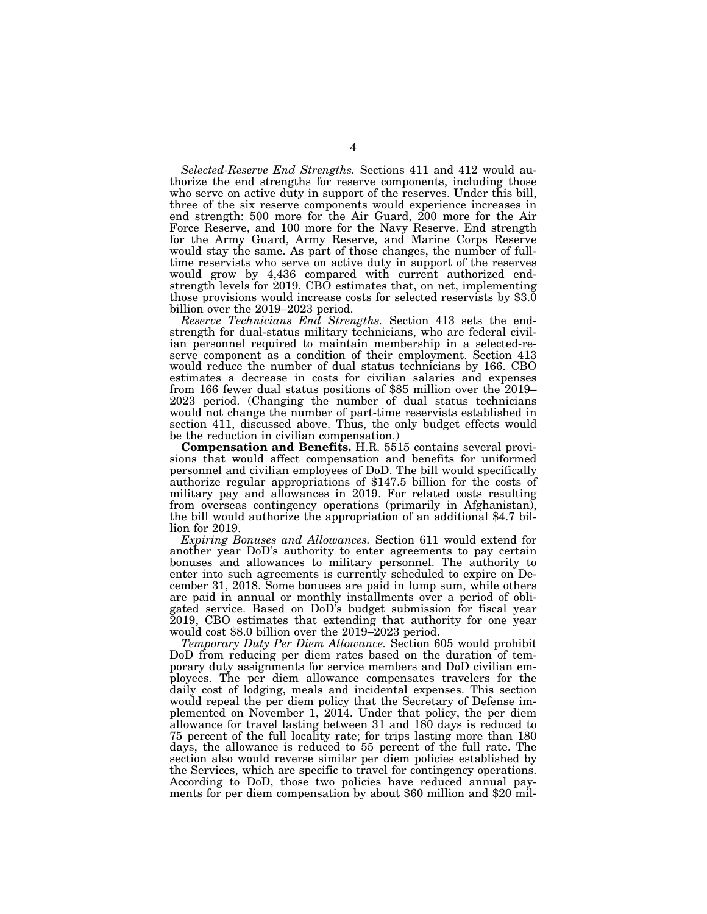*Selected-Reserve End Strengths.* Sections 411 and 412 would authorize the end strengths for reserve components, including those who serve on active duty in support of the reserves. Under this bill, three of the six reserve components would experience increases in end strength: 500 more for the Air Guard, 200 more for the Air Force Reserve, and 100 more for the Navy Reserve. End strength for the Army Guard, Army Reserve, and Marine Corps Reserve would stay the same. As part of those changes, the number of fulltime reservists who serve on active duty in support of the reserves would grow by 4,436 compared with current authorized endstrength levels for 2019. CBO estimates that, on net, implementing those provisions would increase costs for selected reservists by \$3.0 billion over the 2019–2023 period.

*Reserve Technicians End Strengths.* Section 413 sets the endstrength for dual-status military technicians, who are federal civilian personnel required to maintain membership in a selected-reserve component as a condition of their employment. Section 413 would reduce the number of dual status technicians by 166. CBO estimates a decrease in costs for civilian salaries and expenses from 166 fewer dual status positions of \$85 million over the 2019– 2023 period. (Changing the number of dual status technicians would not change the number of part-time reservists established in section 411, discussed above. Thus, the only budget effects would be the reduction in civilian compensation.)

**Compensation and Benefits.** H.R. 5515 contains several provisions that would affect compensation and benefits for uniformed personnel and civilian employees of DoD. The bill would specifically authorize regular appropriations of \$147.5 billion for the costs of military pay and allowances in 2019. For related costs resulting from overseas contingency operations (primarily in Afghanistan), the bill would authorize the appropriation of an additional \$4.7 billion for 2019.

*Expiring Bonuses and Allowances.* Section 611 would extend for another year DoD's authority to enter agreements to pay certain bonuses and allowances to military personnel. The authority to enter into such agreements is currently scheduled to expire on December 31, 2018. Some bonuses are paid in lump sum, while others are paid in annual or monthly installments over a period of obligated service. Based on DoD's budget submission for fiscal year 2019, CBO estimates that extending that authority for one year would cost \$8.0 billion over the 2019–2023 period.

*Temporary Duty Per Diem Allowance.* Section 605 would prohibit DoD from reducing per diem rates based on the duration of temporary duty assignments for service members and DoD civilian employees. The per diem allowance compensates travelers for the daily cost of lodging, meals and incidental expenses. This section would repeal the per diem policy that the Secretary of Defense implemented on November 1, 2014. Under that policy, the per diem allowance for travel lasting between 31 and 180 days is reduced to 75 percent of the full locality rate; for trips lasting more than 180 days, the allowance is reduced to 55 percent of the full rate. The section also would reverse similar per diem policies established by the Services, which are specific to travel for contingency operations. According to DoD, those two policies have reduced annual payments for per diem compensation by about \$60 million and \$20 mil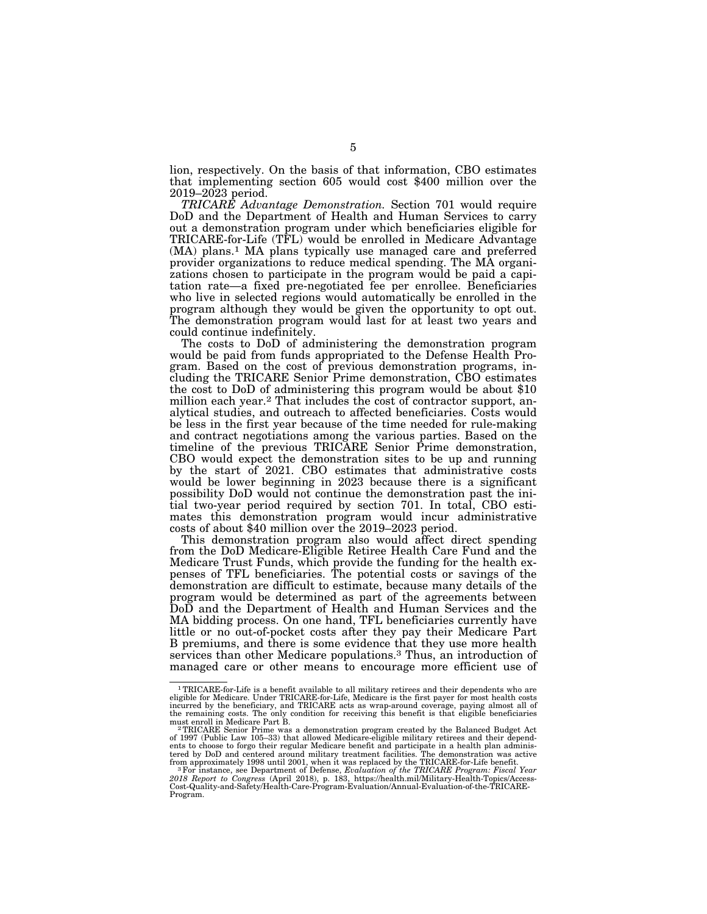lion, respectively. On the basis of that information, CBO estimates that implementing section 605 would cost \$400 million over the 2019–2023 period.

*TRICARE Advantage Demonstration.* Section 701 would require DoD and the Department of Health and Human Services to carry out a demonstration program under which beneficiaries eligible for TRICARE-for-Life (TFL) would be enrolled in Medicare Advantage (MA) plans.1 MA plans typically use managed care and preferred provider organizations to reduce medical spending. The MA organizations chosen to participate in the program would be paid a capitation rate—a fixed pre-negotiated fee per enrollee. Beneficiaries who live in selected regions would automatically be enrolled in the program although they would be given the opportunity to opt out. The demonstration program would last for at least two years and could continue indefinitely.

The costs to DoD of administering the demonstration program would be paid from funds appropriated to the Defense Health Program. Based on the cost of previous demonstration programs, including the TRICARE Senior Prime demonstration, CBO estimates the cost to DoD of administering this program would be about \$10 million each year.2 That includes the cost of contractor support, analytical studies, and outreach to affected beneficiaries. Costs would be less in the first year because of the time needed for rule-making and contract negotiations among the various parties. Based on the timeline of the previous TRICARE Senior Prime demonstration, CBO would expect the demonstration sites to be up and running by the start of 2021. CBO estimates that administrative costs would be lower beginning in 2023 because there is a significant possibility DoD would not continue the demonstration past the initial two-year period required by section 701. In total, CBO estimates this demonstration program would incur administrative costs of about \$40 million over the 2019–2023 period.

This demonstration program also would affect direct spending from the DoD Medicare-Eligible Retiree Health Care Fund and the Medicare Trust Funds, which provide the funding for the health expenses of TFL beneficiaries. The potential costs or savings of the demonstration are difficult to estimate, because many details of the program would be determined as part of the agreements between DoD and the Department of Health and Human Services and the MA bidding process. On one hand, TFL beneficiaries currently have little or no out-of-pocket costs after they pay their Medicare Part B premiums, and there is some evidence that they use more health services than other Medicare populations.3 Thus, an introduction of managed care or other means to encourage more efficient use of

<sup>1</sup>TRICARE-for-Life is a benefit available to all military retirees and their dependents who are eligible for Medicare. Under TRICARE-for-Life, Medicare is the first payer for most health costs incurred by the beneficiary, and TRICARE acts as wrap-around coverage, paying almost all of the remaining costs. The only condition for receiving this benefit is that eligible beneficiaries

must enroll in Medicare Part B.<br><sup>2</sup> TRICARE Senior Prime was a demonstration program created by the Balanced Budget Act<br>of 1997 (Public Law 105–33) that allowed Medicare-eligible military retirees and their depend-<br>ents to tered by DoD and centered around military treatment facilities. The demonstration was active<br>from approximately 1998 until 2001, when it was replaced by the TRICARE-for-Life benefit.<br><sup>3</sup> For instance, see Department of Def

*<sup>2018</sup> Report to Congress* (April 2018), p. 183, https://health.mil/Military-Health-Topics/Access-Cost-Quality-and-Safety/Health-Care-Program-Evaluation/Annual-Evaluation-of-the-TRICARE-Program.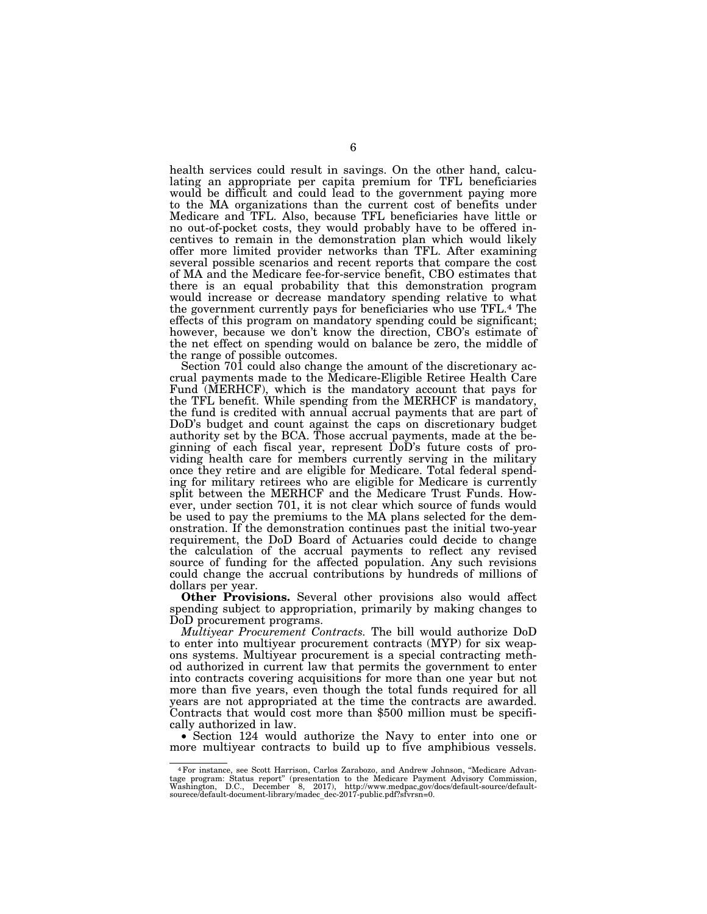health services could result in savings. On the other hand, calculating an appropriate per capita premium for TFL beneficiaries would be difficult and could lead to the government paying more to the MA organizations than the current cost of benefits under Medicare and TFL. Also, because TFL beneficiaries have little or no out-of-pocket costs, they would probably have to be offered incentives to remain in the demonstration plan which would likely offer more limited provider networks than TFL. After examining several possible scenarios and recent reports that compare the cost of MA and the Medicare fee-for-service benefit, CBO estimates that there is an equal probability that this demonstration program would increase or decrease mandatory spending relative to what the government currently pays for beneficiaries who use TFL.4 The effects of this program on mandatory spending could be significant; however, because we don't know the direction, CBO's estimate of the net effect on spending would on balance be zero, the middle of the range of possible outcomes.

Section 701 could also change the amount of the discretionary accrual payments made to the Medicare-Eligible Retiree Health Care Fund (MERHCF), which is the mandatory account that pays for the TFL benefit. While spending from the MERHCF is mandatory, the fund is credited with annual accrual payments that are part of DoD's budget and count against the caps on discretionary budget authority set by the BCA. Those accrual payments, made at the beginning of each fiscal year, represent DoD's future costs of providing health care for members currently serving in the military once they retire and are eligible for Medicare. Total federal spending for military retirees who are eligible for Medicare is currently split between the MERHCF and the Medicare Trust Funds. However, under section 701, it is not clear which source of funds would be used to pay the premiums to the MA plans selected for the demonstration. If the demonstration continues past the initial two-year requirement, the DoD Board of Actuaries could decide to change the calculation of the accrual payments to reflect any revised source of funding for the affected population. Any such revisions could change the accrual contributions by hundreds of millions of dollars per year.

**Other Provisions.** Several other provisions also would affect spending subject to appropriation, primarily by making changes to DoD procurement programs.

*Multiyear Procurement Contracts.* The bill would authorize DoD to enter into multiyear procurement contracts (MYP) for six weapons systems. Multiyear procurement is a special contracting method authorized in current law that permits the government to enter into contracts covering acquisitions for more than one year but not more than five years, even though the total funds required for all years are not appropriated at the time the contracts are awarded. Contracts that would cost more than \$500 million must be specifically authorized in law.

• Section 124 would authorize the Navy to enter into one or more multiyear contracts to build up to five amphibious vessels.

<sup>4</sup>For instance, see Scott Harrison, Carlos Zarabozo, and Andrew Johnson, ''Medicare Advantage program: Status report" (presentation to the Medicare Payment Advisory Commission,<br>Washington, D.C., December 8, 2017), http://www.medpac,gov/docs/default-source/default-<br>sourece/default-document-library/madec\_dec-201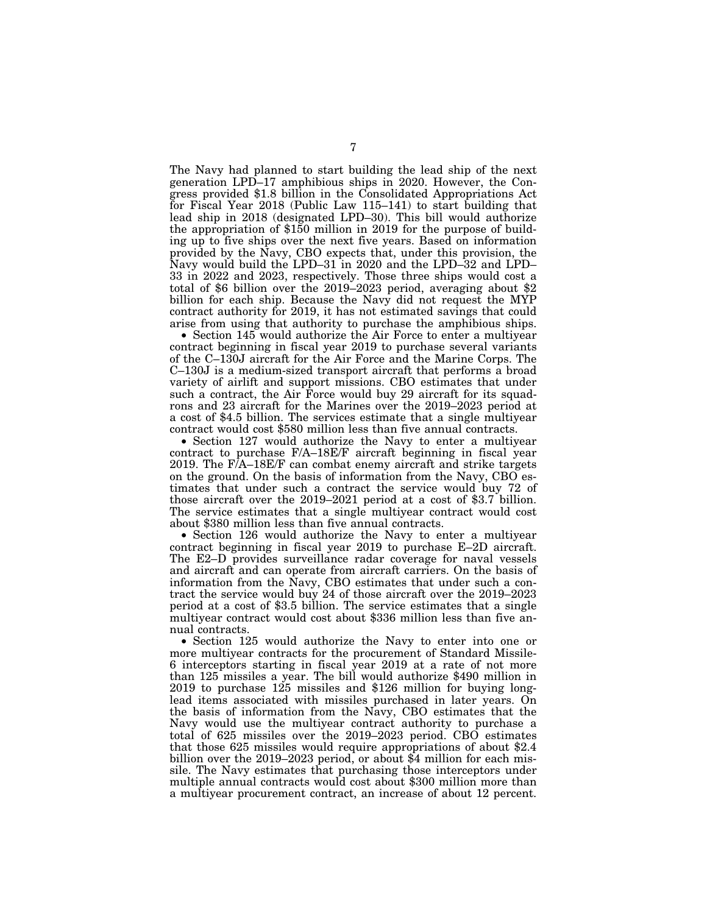The Navy had planned to start building the lead ship of the next generation LPD–17 amphibious ships in 2020. However, the Congress provided \$1.8 billion in the Consolidated Appropriations Act for Fiscal Year 2018 (Public Law 115–141) to start building that lead ship in 2018 (designated LPD–30). This bill would authorize the appropriation of \$150 million in 2019 for the purpose of building up to five ships over the next five years. Based on information provided by the Navy, CBO expects that, under this provision, the Navy would build the LPD–31 in 2020 and the LPD–32 and LPD– 33 in 2022 and 2023, respectively. Those three ships would cost a total of \$6 billion over the 2019–2023 period, averaging about \$2 billion for each ship. Because the Navy did not request the MYP contract authority for 2019, it has not estimated savings that could arise from using that authority to purchase the amphibious ships.

• Section 145 would authorize the Air Force to enter a multiyear contract beginning in fiscal year 2019 to purchase several variants of the C–130J aircraft for the Air Force and the Marine Corps. The C–130J is a medium-sized transport aircraft that performs a broad variety of airlift and support missions. CBO estimates that under such a contract, the Air Force would buy 29 aircraft for its squadrons and 23 aircraft for the Marines over the 2019–2023 period at a cost of \$4.5 billion. The services estimate that a single multiyear contract would cost \$580 million less than five annual contracts.

• Section 127 would authorize the Navy to enter a multiyear contract to purchase F/A–18E/F aircraft beginning in fiscal year 2019. The F/A–18E/F can combat enemy aircraft and strike targets on the ground. On the basis of information from the Navy, CBO estimates that under such a contract the service would buy 72 of those aircraft over the 2019–2021 period at a cost of \$3.7 billion. The service estimates that a single multiyear contract would cost about \$380 million less than five annual contracts.

• Section 126 would authorize the Navy to enter a multiyear contract beginning in fiscal year 2019 to purchase E–2D aircraft. The E2–D provides surveillance radar coverage for naval vessels and aircraft and can operate from aircraft carriers. On the basis of information from the Navy, CBO estimates that under such a contract the service would buy 24 of those aircraft over the 2019–2023 period at a cost of \$3.5 billion. The service estimates that a single multiyear contract would cost about \$336 million less than five annual contracts.

• Section 125 would authorize the Navy to enter into one or more multiyear contracts for the procurement of Standard Missile-6 interceptors starting in fiscal year 2019 at a rate of not more than 125 missiles a year. The bill would authorize \$490 million in 2019 to purchase 125 missiles and \$126 million for buying longlead items associated with missiles purchased in later years. On the basis of information from the Navy, CBO estimates that the Navy would use the multiyear contract authority to purchase a total of 625 missiles over the 2019–2023 period. CBO estimates that those 625 missiles would require appropriations of about \$2.4 billion over the 2019–2023 period, or about \$4 million for each missile. The Navy estimates that purchasing those interceptors under multiple annual contracts would cost about \$300 million more than a multiyear procurement contract, an increase of about 12 percent.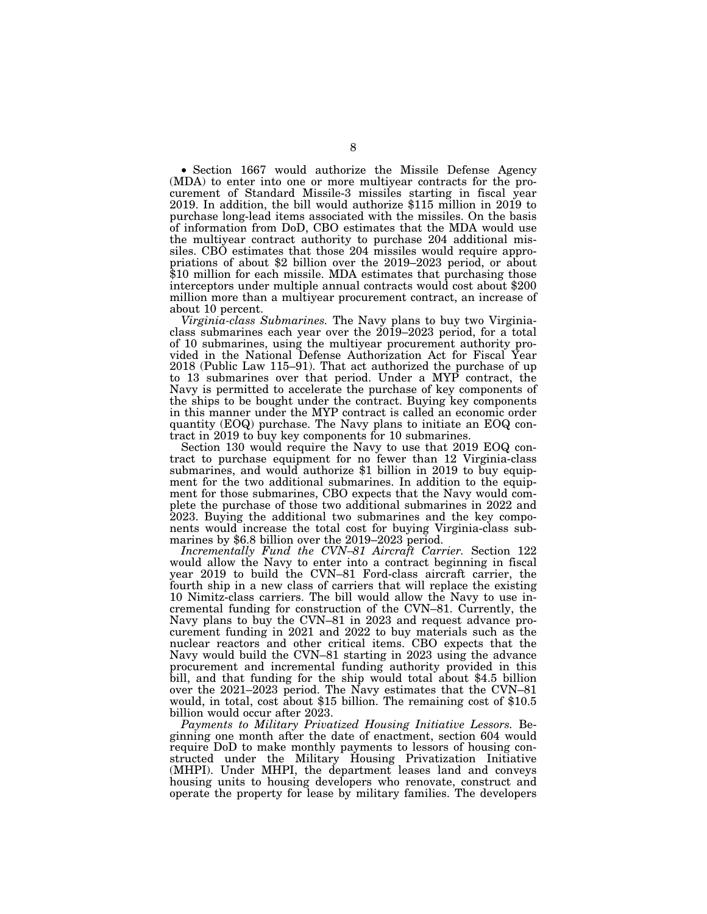• Section 1667 would authorize the Missile Defense Agency (MDA) to enter into one or more multiyear contracts for the procurement of Standard Missile-3 missiles starting in fiscal year 2019. In addition, the bill would authorize \$115 million in 2019 to purchase long-lead items associated with the missiles. On the basis of information from DoD, CBO estimates that the MDA would use the multiyear contract authority to purchase 204 additional missiles. CBO estimates that those 204 missiles would require appropriations of about \$2 billion over the 2019–2023 period, or about \$10 million for each missile. MDA estimates that purchasing those interceptors under multiple annual contracts would cost about \$200 million more than a multiyear procurement contract, an increase of about 10 percent.

*Virginia-class Submarines.* The Navy plans to buy two Virginiaclass submarines each year over the 2019–2023 period, for a total of 10 submarines, using the multiyear procurement authority provided in the National Defense Authorization Act for Fiscal Year 2018 (Public Law 115–91). That act authorized the purchase of up to 13 submarines over that period. Under a MYP contract, the Navy is permitted to accelerate the purchase of key components of the ships to be bought under the contract. Buying key components in this manner under the MYP contract is called an economic order quantity (EOQ) purchase. The Navy plans to initiate an EOQ contract in 2019 to buy key components for 10 submarines.

Section 130 would require the Navy to use that 2019 EOQ contract to purchase equipment for no fewer than 12 Virginia-class submarines, and would authorize \$1 billion in 2019 to buy equipment for the two additional submarines. In addition to the equipment for those submarines, CBO expects that the Navy would complete the purchase of those two additional submarines in 2022 and 2023. Buying the additional two submarines and the key components would increase the total cost for buying Virginia-class submarines by \$6.8 billion over the 2019–2023 period.

*Incrementally Fund the CVN–81 Aircraft Carrier.* Section 122 would allow the Navy to enter into a contract beginning in fiscal year 2019 to build the CVN–81 Ford-class aircraft carrier, the fourth ship in a new class of carriers that will replace the existing 10 Nimitz-class carriers. The bill would allow the Navy to use incremental funding for construction of the CVN–81. Currently, the Navy plans to buy the CVN–81 in 2023 and request advance procurement funding in 2021 and 2022 to buy materials such as the nuclear reactors and other critical items. CBO expects that the Navy would build the CVN–81 starting in 2023 using the advance procurement and incremental funding authority provided in this bill, and that funding for the ship would total about \$4.5 billion over the 2021–2023 period. The Navy estimates that the CVN–81 would, in total, cost about \$15 billion. The remaining cost of \$10.5 billion would occur after 2023.

*Payments to Military Privatized Housing Initiative Lessors.* Beginning one month after the date of enactment, section 604 would require DoD to make monthly payments to lessors of housing constructed under the Military Housing Privatization Initiative (MHPI). Under MHPI, the department leases land and conveys housing units to housing developers who renovate, construct and operate the property for lease by military families. The developers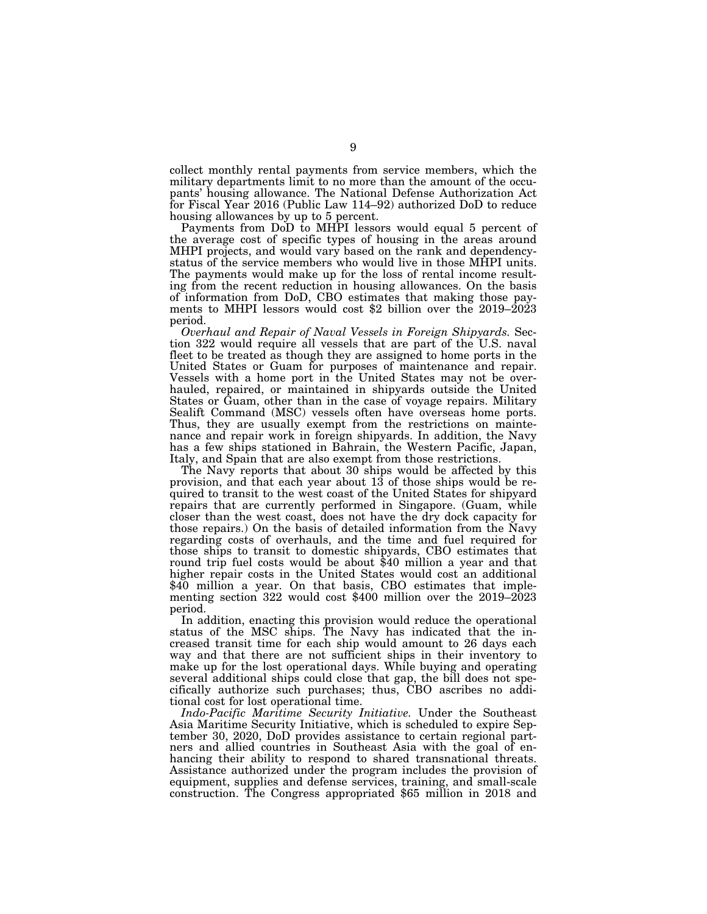collect monthly rental payments from service members, which the military departments limit to no more than the amount of the occupants' housing allowance. The National Defense Authorization Act for Fiscal Year 2016 (Public Law 114–92) authorized DoD to reduce housing allowances by up to 5 percent.

Payments from DoD to MHPI lessors would equal 5 percent of the average cost of specific types of housing in the areas around MHPI projects, and would vary based on the rank and dependencystatus of the service members who would live in those MHPI units. The payments would make up for the loss of rental income resulting from the recent reduction in housing allowances. On the basis of information from DoD, CBO estimates that making those payments to MHPI lessors would cost \$2 billion over the 2019–2023 period.

*Overhaul and Repair of Naval Vessels in Foreign Shipyards.* Section 322 would require all vessels that are part of the U.S. naval fleet to be treated as though they are assigned to home ports in the United States or Guam for purposes of maintenance and repair. Vessels with a home port in the United States may not be overhauled, repaired, or maintained in shipyards outside the United States or Guam, other than in the case of voyage repairs. Military Sealift Command (MSC) vessels often have overseas home ports. Thus, they are usually exempt from the restrictions on maintenance and repair work in foreign shipyards. In addition, the Navy has a few ships stationed in Bahrain, the Western Pacific, Japan, Italy, and Spain that are also exempt from those restrictions.

The Navy reports that about 30 ships would be affected by this provision, and that each year about 13 of those ships would be required to transit to the west coast of the United States for shipyard repairs that are currently performed in Singapore. (Guam, while closer than the west coast, does not have the dry dock capacity for those repairs.) On the basis of detailed information from the Navy regarding costs of overhauls, and the time and fuel required for those ships to transit to domestic shipyards, CBO estimates that round trip fuel costs would be about \$40 million a year and that higher repair costs in the United States would cost an additional \$40 million a year. On that basis, CBO estimates that implementing section 322 would cost \$400 million over the 2019–2023 period.

In addition, enacting this provision would reduce the operational status of the MSC ships. The Navy has indicated that the increased transit time for each ship would amount to 26 days each way and that there are not sufficient ships in their inventory to make up for the lost operational days. While buying and operating several additional ships could close that gap, the bill does not specifically authorize such purchases; thus, CBO ascribes no additional cost for lost operational time.

*Indo-Pacific Maritime Security Initiative.* Under the Southeast Asia Maritime Security Initiative, which is scheduled to expire September 30, 2020, DoD provides assistance to certain regional partners and allied countries in Southeast Asia with the goal of enhancing their ability to respond to shared transnational threats. Assistance authorized under the program includes the provision of equipment, supplies and defense services, training, and small-scale construction. The Congress appropriated \$65 million in 2018 and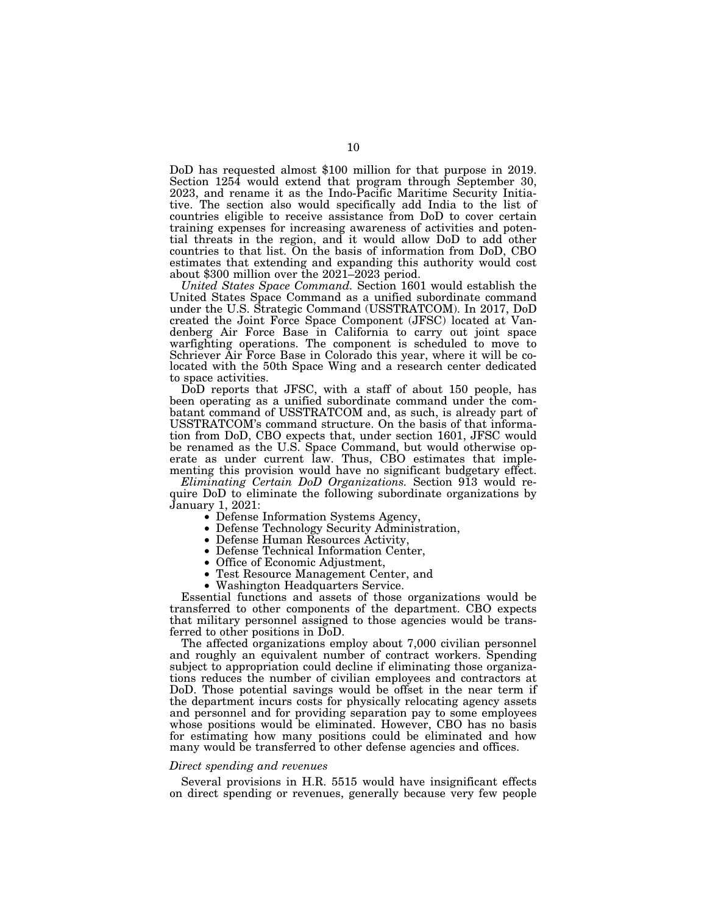DoD has requested almost \$100 million for that purpose in 2019. Section 1254 would extend that program through September 30, 2023, and rename it as the Indo-Pacific Maritime Security Initiative. The section also would specifically add India to the list of countries eligible to receive assistance from DoD to cover certain training expenses for increasing awareness of activities and potential threats in the region, and it would allow DoD to add other countries to that list. On the basis of information from DoD, CBO estimates that extending and expanding this authority would cost about \$300 million over the 2021–2023 period.

*United States Space Command.* Section 1601 would establish the United States Space Command as a unified subordinate command under the U.S. Strategic Command (USSTRATCOM). In 2017, DoD created the Joint Force Space Component (JFSC) located at Vandenberg Air Force Base in California to carry out joint space warfighting operations. The component is scheduled to move to Schriever Air Force Base in Colorado this year, where it will be colocated with the 50th Space Wing and a research center dedicated to space activities.

DoD reports that JFSC, with a staff of about 150 people, has been operating as a unified subordinate command under the combatant command of USSTRATCOM and, as such, is already part of USSTRATCOM's command structure. On the basis of that information from DoD, CBO expects that, under section 1601, JFSC would be renamed as the U.S. Space Command, but would otherwise operate as under current law. Thus, CBO estimates that implementing this provision would have no significant budgetary effect.

*Eliminating Certain DoD Organizations.* Section 913 would require DoD to eliminate the following subordinate organizations by January 1, 2021:

• Defense Information Systems Agency, • Defense Technology Security Administration, • Defense Human Resources Activity, • Defense Technical Information Center,

- Office of Economic Adjustment,
- Test Resource Management Center, and
- Washington Headquarters Service.

Essential functions and assets of those organizations would be transferred to other components of the department. CBO expects that military personnel assigned to those agencies would be transferred to other positions in DoD.

The affected organizations employ about 7,000 civilian personnel and roughly an equivalent number of contract workers. Spending subject to appropriation could decline if eliminating those organizations reduces the number of civilian employees and contractors at DoD. Those potential savings would be offset in the near term if the department incurs costs for physically relocating agency assets and personnel and for providing separation pay to some employees whose positions would be eliminated. However, CBO has no basis for estimating how many positions could be eliminated and how many would be transferred to other defense agencies and offices.

### *Direct spending and revenues*

Several provisions in H.R. 5515 would have insignificant effects on direct spending or revenues, generally because very few people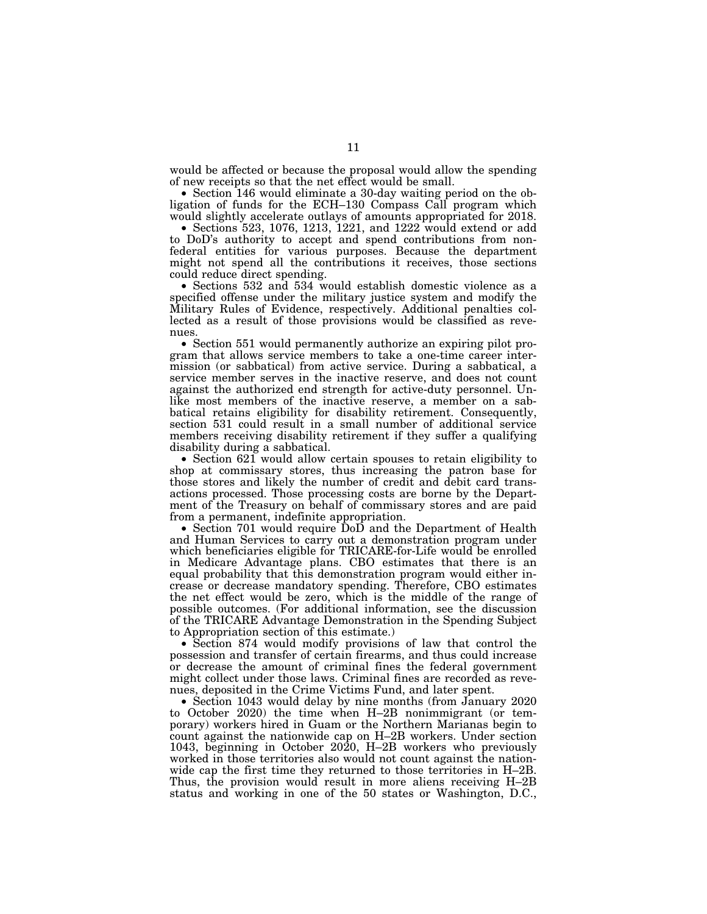would be affected or because the proposal would allow the spending of new receipts so that the net effect would be small.

• Section 146 would eliminate a 30-day waiting period on the obligation of funds for the ECH–130 Compass Call program which would slightly accelerate outlays of amounts appropriated for 2018.

• Sections 523, 1076, 1213, 1221, and 1222 would extend or add to DoD's authority to accept and spend contributions from nonfederal entities for various purposes. Because the department might not spend all the contributions it receives, those sections could reduce direct spending.

• Sections 532 and 534 would establish domestic violence as a specified offense under the military justice system and modify the Military Rules of Evidence, respectively. Additional penalties collected as a result of those provisions would be classified as revenues.

• Section 551 would permanently authorize an expiring pilot program that allows service members to take a one-time career intermission (or sabbatical) from active service. During a sabbatical, a service member serves in the inactive reserve, and does not count against the authorized end strength for active-duty personnel. Unlike most members of the inactive reserve, a member on a sabbatical retains eligibility for disability retirement. Consequently, section 531 could result in a small number of additional service members receiving disability retirement if they suffer a qualifying disability during a sabbatical.

• Section 621 would allow certain spouses to retain eligibility to shop at commissary stores, thus increasing the patron base for those stores and likely the number of credit and debit card transactions processed. Those processing costs are borne by the Department of the Treasury on behalf of commissary stores and are paid from a permanent, indefinite appropriation.

• Section 701 would require DoD and the Department of Health and Human Services to carry out a demonstration program under which beneficiaries eligible for TRICARE-for-Life would be enrolled in Medicare Advantage plans. CBO estimates that there is an equal probability that this demonstration program would either increase or decrease mandatory spending. Therefore, CBO estimates the net effect would be zero, which is the middle of the range of possible outcomes. (For additional information, see the discussion of the TRICARE Advantage Demonstration in the Spending Subject to Appropriation section of this estimate.)

• Section 874 would modify provisions of law that control the possession and transfer of certain firearms, and thus could increase or decrease the amount of criminal fines the federal government might collect under those laws. Criminal fines are recorded as revenues, deposited in the Crime Victims Fund, and later spent.

• Section 1043 would delay by nine months (from January 2020 to October 2020) the time when H–2B nonimmigrant (or temporary) workers hired in Guam or the Northern Marianas begin to count against the nationwide cap on H–2B workers. Under section 1043, beginning in October 2020, H–2B workers who previously worked in those territories also would not count against the nationwide cap the first time they returned to those territories in H–2B. Thus, the provision would result in more aliens receiving H–2B status and working in one of the 50 states or Washington, D.C.,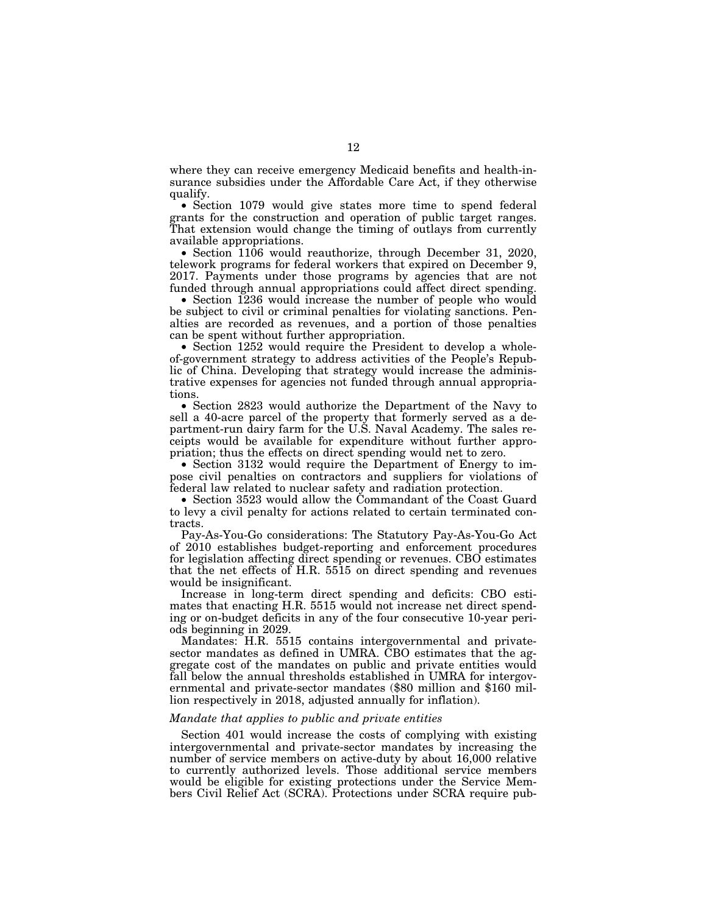where they can receive emergency Medicaid benefits and health-insurance subsidies under the Affordable Care Act, if they otherwise qualify.

• Section 1079 would give states more time to spend federal grants for the construction and operation of public target ranges. That extension would change the timing of outlays from currently available appropriations.

• Section 1106 would reauthorize, through December 31, 2020, telework programs for federal workers that expired on December 9, 2017. Payments under those programs by agencies that are not funded through annual appropriations could affect direct spending.

• Section 1236 would increase the number of people who would be subject to civil or criminal penalties for violating sanctions. Penalties are recorded as revenues, and a portion of those penalties can be spent without further appropriation.

• Section 1252 would require the President to develop a wholeof-government strategy to address activities of the People's Republic of China. Developing that strategy would increase the administrative expenses for agencies not funded through annual appropriations.

• Section 2823 would authorize the Department of the Navy to sell a 40-acre parcel of the property that formerly served as a department-run dairy farm for the U.S. Naval Academy. The sales receipts would be available for expenditure without further appropriation; thus the effects on direct spending would net to zero.

• Section 3132 would require the Department of Energy to impose civil penalties on contractors and suppliers for violations of federal law related to nuclear safety and radiation protection.

• Section 3523 would allow the Commandant of the Coast Guard to levy a civil penalty for actions related to certain terminated contracts.

Pay-As-You-Go considerations: The Statutory Pay-As-You-Go Act of 2010 establishes budget-reporting and enforcement procedures for legislation affecting direct spending or revenues. CBO estimates that the net effects of H.R. 5515 on direct spending and revenues would be insignificant.

Increase in long-term direct spending and deficits: CBO estimates that enacting H.R. 5515 would not increase net direct spending or on-budget deficits in any of the four consecutive 10-year periods beginning in 2029.

Mandates: H.R. 5515 contains intergovernmental and privatesector mandates as defined in UMRA. CBO estimates that the aggregate cost of the mandates on public and private entities would fall below the annual thresholds established in UMRA for intergovernmental and private-sector mandates (\$80 million and \$160 million respectively in 2018, adjusted annually for inflation).

### *Mandate that applies to public and private entities*

Section 401 would increase the costs of complying with existing intergovernmental and private-sector mandates by increasing the number of service members on active-duty by about 16,000 relative to currently authorized levels. Those additional service members would be eligible for existing protections under the Service Members Civil Relief Act (SCRA). Protections under SCRA require pub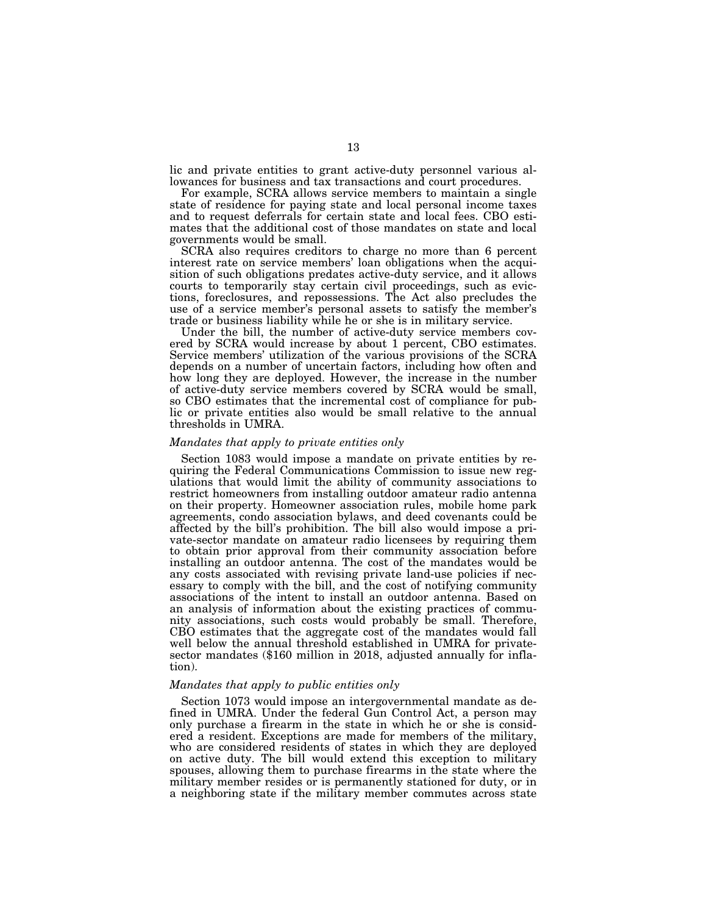lic and private entities to grant active-duty personnel various allowances for business and tax transactions and court procedures.

For example, SCRA allows service members to maintain a single state of residence for paying state and local personal income taxes and to request deferrals for certain state and local fees. CBO estimates that the additional cost of those mandates on state and local governments would be small.

SCRA also requires creditors to charge no more than 6 percent interest rate on service members' loan obligations when the acquisition of such obligations predates active-duty service, and it allows courts to temporarily stay certain civil proceedings, such as evictions, foreclosures, and repossessions. The Act also precludes the use of a service member's personal assets to satisfy the member's trade or business liability while he or she is in military service.

Under the bill, the number of active-duty service members covered by SCRA would increase by about 1 percent, CBO estimates. Service members' utilization of the various provisions of the SCRA depends on a number of uncertain factors, including how often and how long they are deployed. However, the increase in the number of active-duty service members covered by SCRA would be small, so CBO estimates that the incremental cost of compliance for public or private entities also would be small relative to the annual thresholds in UMRA.

## *Mandates that apply to private entities only*

Section 1083 would impose a mandate on private entities by requiring the Federal Communications Commission to issue new regulations that would limit the ability of community associations to restrict homeowners from installing outdoor amateur radio antenna on their property. Homeowner association rules, mobile home park agreements, condo association bylaws, and deed covenants could be affected by the bill's prohibition. The bill also would impose a private-sector mandate on amateur radio licensees by requiring them to obtain prior approval from their community association before installing an outdoor antenna. The cost of the mandates would be any costs associated with revising private land-use policies if necessary to comply with the bill, and the cost of notifying community associations of the intent to install an outdoor antenna. Based on an analysis of information about the existing practices of community associations, such costs would probably be small. Therefore, CBO estimates that the aggregate cost of the mandates would fall well below the annual threshold established in UMRA for privatesector mandates (\$160 million in 2018, adjusted annually for inflation).

# *Mandates that apply to public entities only*

Section 1073 would impose an intergovernmental mandate as defined in UMRA. Under the federal Gun Control Act, a person may only purchase a firearm in the state in which he or she is considered a resident. Exceptions are made for members of the military, who are considered residents of states in which they are deployed on active duty. The bill would extend this exception to military spouses, allowing them to purchase firearms in the state where the military member resides or is permanently stationed for duty, or in a neighboring state if the military member commutes across state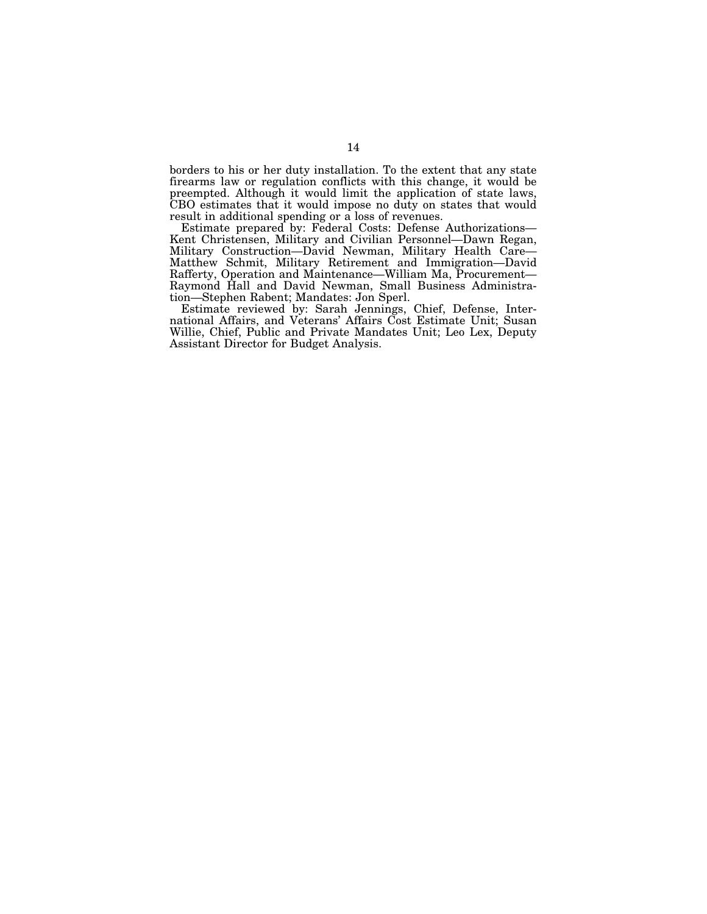borders to his or her duty installation. To the extent that any state firearms law or regulation conflicts with this change, it would be preempted. Although it would limit the application of state laws, CBO estimates that it would impose no duty on states that would result in additional spending or a loss of revenues.

Estimate prepared by: Federal Costs: Defense Authorizations— Kent Christensen, Military and Civilian Personnel—Dawn Regan, Military Construction—David Newman, Military Health Care— Matthew Schmit, Military Retirement and Immigration—David Rafferty, Operation and Maintenance—William Ma, Procurement— Raymond Hall and David Newman, Small Business Administration—Stephen Rabent; Mandates: Jon Sperl.

Estimate reviewed by: Sarah Jennings, Chief, Defense, International Affairs, and Veterans' Affairs Cost Estimate Unit; Susan Willie, Chief, Public and Private Mandates Unit; Leo Lex, Deputy Assistant Director for Budget Analysis.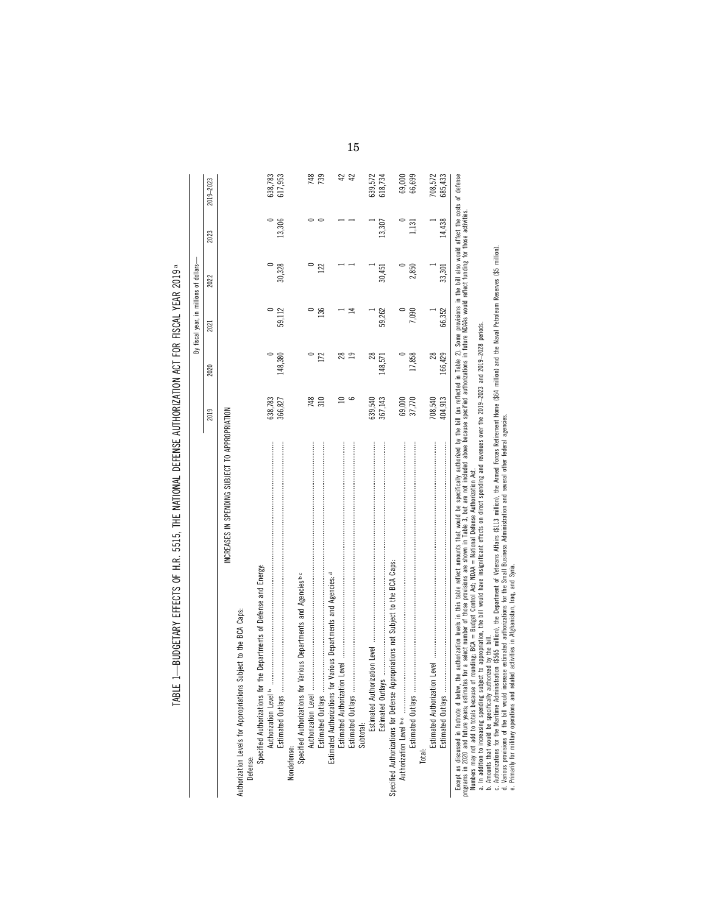| 59,112<br>2021<br>148,380<br>2020<br>638,783<br>366,827<br>2019<br>INCREASES IN SPENDING SUBJECT TO APPROPRIATION | 2023<br>2022     | 2019-2023 |
|-------------------------------------------------------------------------------------------------------------------|------------------|-----------|
|                                                                                                                   |                  |           |
|                                                                                                                   |                  |           |
|                                                                                                                   |                  |           |
|                                                                                                                   |                  |           |
|                                                                                                                   |                  |           |
|                                                                                                                   |                  | 638,783   |
|                                                                                                                   | 13,306<br>30,328 | 617,953   |
|                                                                                                                   |                  |           |
|                                                                                                                   |                  |           |
| 748                                                                                                               |                  | 748       |
| 136<br>172<br>310                                                                                                 | 122              | 739       |
|                                                                                                                   |                  |           |
| 28                                                                                                                |                  | 42        |
| ⋣<br>$\overline{19}$<br>9                                                                                         |                  | 42        |
|                                                                                                                   |                  |           |
| 28                                                                                                                |                  | 639,572   |
|                                                                                                                   | 13,307           | 618,734   |
|                                                                                                                   |                  |           |
|                                                                                                                   |                  | 69,000    |
| 17,858                                                                                                            | 1,131<br>2,850   | 66,699    |
|                                                                                                                   |                  |           |
| $^{28}$                                                                                                           |                  | 708,572   |
| 66,352<br>166,429<br>404,913                                                                                      | 14,438<br>33,301 | 685,433   |
| 59,262<br>7,090<br>148,571<br>708,540<br>69,000<br>367,143<br>37,770<br>639,540                                   | 30,451           |           |

# TABLE 1-BUDGETARY EFFECTS OF H.R. 5515, THE NATIONAL DEFENSE AUTHORIZATION ACT FOR FISCAL YEAR 2019 a TABLE 1—BUDGETARY EFFECTS OF H.R. 5515, THE NATIONAL DEFENSE AUTHORIZATION ACT FOR FISCAL YEAR 2019 a

b. Amounts that would be specifically authorized by the bill.

a. In addition to increasing systeding subject to appropriation, the bill would have insignificant effects on direct spending and revenues over the 2013–2023 and 2013–2028 periods.<br>c. Authorizations for the Washiem Markon c. Authorizations for the Maritime Administration (\$565 million), the Department of Veterans Affairs (\$113 million), the Armed Forces Retirement Home (\$64 million) and the Naval Petroleum Reserves (\$5 million).

d. Various provisions of the bill would increase estimated authorizations for the Small Business Administration and several other federal agencies.

e. Primarily for military operations and related activities in Afghanistan, Iraq, and Syria.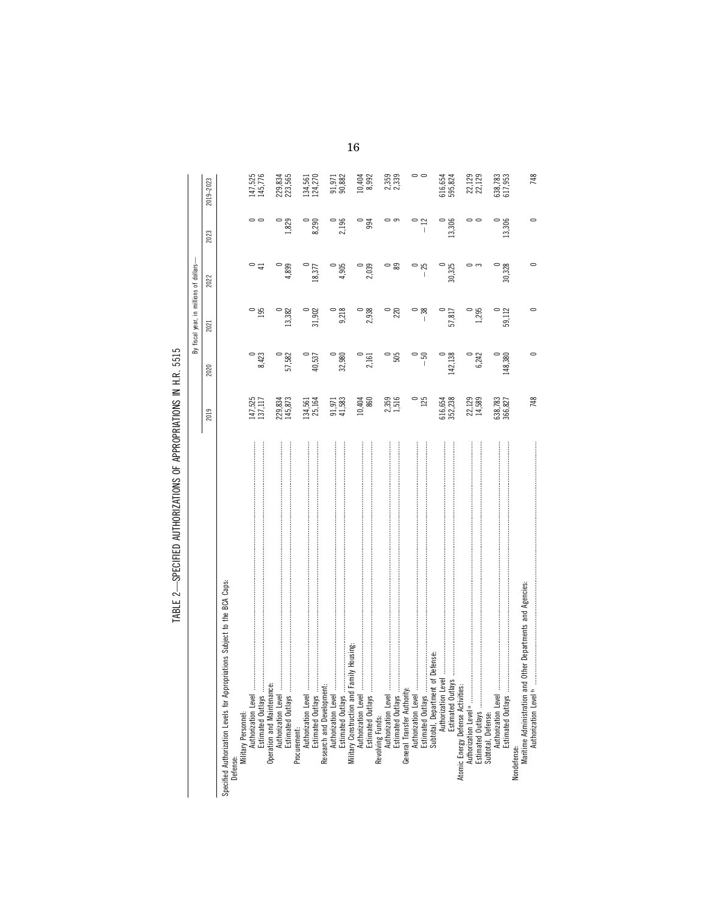|                                                                                 |                    |         | By fiscal year, in millions of dollars- |                        |         |                        |
|---------------------------------------------------------------------------------|--------------------|---------|-----------------------------------------|------------------------|---------|------------------------|
|                                                                                 | 2019               | 2020    | 2021                                    | 2022                   | 2023    | 2019-2023              |
| Specified Authorization Levels for Appropriations Subject to the BCA Caps:      |                    |         |                                         |                        |         |                        |
| Defense:                                                                        |                    |         |                                         |                        |         |                        |
| Military Personnel:<br>Authorization Level                                      |                    |         |                                         |                        |         |                        |
| Estimated Outlays                                                               | 147,525<br>137,117 | 8,423   | $\frac{0}{195}$                         | $\circ$ =              | 00      | 147,525<br>145,776     |
|                                                                                 |                    |         |                                         |                        |         |                        |
| ڹۏ<br>Operation and Maintenanc<br>Authorization Level.                          |                    |         |                                         |                        |         |                        |
|                                                                                 | 229,834<br>145,873 | 57,582  | 13,382                                  | 4,899                  | 1,829   | 229,834                |
|                                                                                 |                    |         |                                         |                        |         |                        |
| Authorization Level.<br>Procurement:                                            |                    |         |                                         |                        |         |                        |
|                                                                                 | 134,561<br>25,164  | 40,537  | 31,902                                  | 18,377                 | 8,290   | 134,561<br>124,270     |
| Estimated Outlays<br>Research and Development:<br>Authorization Level           |                    |         |                                         |                        |         |                        |
|                                                                                 |                    |         |                                         |                        |         |                        |
|                                                                                 | 91,971<br>41,583   |         |                                         | 4,905                  |         | 91,971<br>90,882       |
| Estimated Outlays                                                               |                    | 32,980  | 9,218                                   |                        | 2,196   |                        |
| Family Housing:<br>Military Construction and                                    |                    |         |                                         |                        |         |                        |
| Authorization Level.                                                            |                    |         |                                         |                        |         |                        |
|                                                                                 | 10,404<br>860      | 2,161   | 2,938                                   | 2,039                  | 994     | $\frac{10,404}{8,992}$ |
| Revolving Funds:                                                                |                    |         |                                         |                        |         |                        |
|                                                                                 |                    |         |                                         | $\circ$ $\circ$        |         |                        |
| Estimated Outlays                                                               | 2,359<br>1,516     | 505     | $\frac{0}{220}$                         |                        |         | 2,359<br>2,339         |
| General Transfer Authority                                                      |                    |         |                                         |                        |         |                        |
| Authorization Level                                                             |                    |         |                                         |                        |         |                        |
| Estimated Outlays.                                                              | $\frac{0}{125}$    | $-50$   | $\circ$ $\frac{8}{1}$                   | ಿ ಸಿ<br>$\overline{1}$ | $\vert$ | 00                     |
| Subtotal, Department of Defense:                                                |                    |         |                                         |                        |         |                        |
| Authorization Level                                                             | 616,654<br>352,238 |         |                                         |                        |         |                        |
|                                                                                 |                    | 142,138 | 57,817                                  | 30,325                 | 13,306  | 616,654<br>595,824     |
| Estimated Outlays<br>Atomic Energy Defense Activities:                          |                    |         |                                         |                        |         |                        |
|                                                                                 |                    |         |                                         |                        |         |                        |
| Estimated Outlays                                                               | 22,129<br>14,589   | 6,242   | 1,295                                   |                        |         | 22,129<br>22,129       |
| Subtotal, Defense:                                                              |                    |         |                                         |                        |         |                        |
| Authorization Level                                                             |                    |         |                                         |                        |         |                        |
| Estimated Outlays                                                               | 538,783<br>366,827 | 148,380 | 59,112                                  | 30,328                 | 13,306  | 538,783<br>517,953     |
|                                                                                 |                    |         |                                         |                        |         |                        |
| nd Other Departments and Agencies:<br>Nondefense:<br>Maritime Administration ar |                    |         |                                         |                        |         |                        |
| Authorization Level <sup>b</sup>                                                | 748                |         |                                         |                        |         | 748                    |
|                                                                                 |                    |         |                                         |                        |         |                        |

TABLE 2-SPECIFIED AUTHORIZATIONS OF APPROPRIATIONS IN H.R. 5515 TABLE 2—SPECIFIED AUTHORIZATIONS OF APPROPRIATIONS IN H.R. 5515

16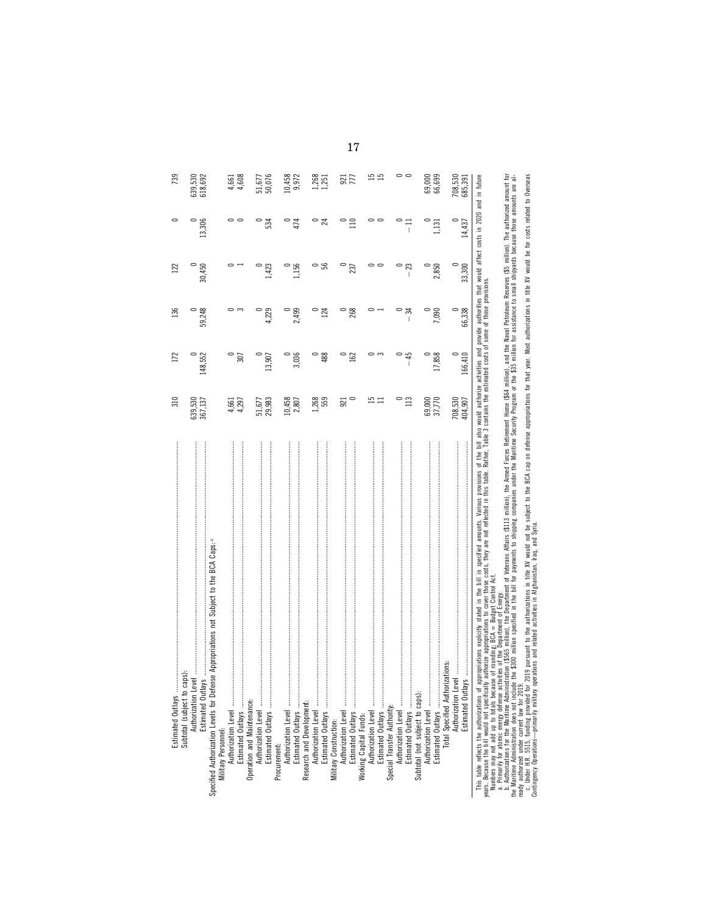| Estimated Outlays.                                                                                                                                                                                                                                                                                                                                                                                  | 310                                                                                                                                                                                            | 172               | 136                                                                                                                                                                                                                                                                                                                                                                                     | 122         |                                            | 739                |
|-----------------------------------------------------------------------------------------------------------------------------------------------------------------------------------------------------------------------------------------------------------------------------------------------------------------------------------------------------------------------------------------------------|------------------------------------------------------------------------------------------------------------------------------------------------------------------------------------------------|-------------------|-----------------------------------------------------------------------------------------------------------------------------------------------------------------------------------------------------------------------------------------------------------------------------------------------------------------------------------------------------------------------------------------|-------------|--------------------------------------------|--------------------|
| Specified Authorization Levels for Defense Appropriations not Subject to the BCA Caps: c<br>caps):<br>Subtotal (subject to<br>Authorization                                                                                                                                                                                                                                                         | 639,530<br>367,137                                                                                                                                                                             | 148,552           | 59,248                                                                                                                                                                                                                                                                                                                                                                                  | 30,450      | 13,306                                     | 618,692<br>639,530 |
|                                                                                                                                                                                                                                                                                                                                                                                                     | 4,297<br>4,661                                                                                                                                                                                 | 307               | ం ఌ                                                                                                                                                                                                                                                                                                                                                                                     |             |                                            | 4,608<br>4,661     |
| Authorization Level<br>Estimated Outlays                                                                                                                                                                                                                                                                                                                                                            | 51,677<br>29,983                                                                                                                                                                               | 13,907            | 4,229                                                                                                                                                                                                                                                                                                                                                                                   | $42\degree$ | 534                                        | 51,677<br>50,076   |
| ,<br>Authorization Level<br>Estimated Outlays<br>Procurement:                                                                                                                                                                                                                                                                                                                                       | 10,458<br>2,807                                                                                                                                                                                | 3,036             | 2,499                                                                                                                                                                                                                                                                                                                                                                                   | 1,156       |                                            | 10,458<br>9,972    |
| Authorization Level<br>Research and Development:                                                                                                                                                                                                                                                                                                                                                    | 1,268<br>559                                                                                                                                                                                   | 488               | 124                                                                                                                                                                                                                                                                                                                                                                                     | န္တ         | ಸ                                          | $.268$<br>$.251$   |
|                                                                                                                                                                                                                                                                                                                                                                                                     | 921                                                                                                                                                                                            | 162               | 268                                                                                                                                                                                                                                                                                                                                                                                     | 237         |                                            | $\frac{921}{777}$  |
|                                                                                                                                                                                                                                                                                                                                                                                                     | $\overline{15}$                                                                                                                                                                                |                   |                                                                                                                                                                                                                                                                                                                                                                                         |             |                                            | 15                 |
| Estimated Outlays<br>Authorization Level                                                                                                                                                                                                                                                                                                                                                            | 113                                                                                                                                                                                            | $-45$             | ਨ੍ਹ<br>$\begin{array}{c} \rule{0pt}{2.5ex} \rule{0pt}{2.5ex} \rule{0pt}{2.5ex} \rule{0pt}{2.5ex} \rule{0pt}{2.5ex} \rule{0pt}{2.5ex} \rule{0pt}{2.5ex} \rule{0pt}{2.5ex} \rule{0pt}{2.5ex} \rule{0pt}{2.5ex} \rule{0pt}{2.5ex} \rule{0pt}{2.5ex} \rule{0pt}{2.5ex} \rule{0pt}{2.5ex} \rule{0pt}{2.5ex} \rule{0pt}{2.5ex} \rule{0pt}{2.5ex} \rule{0pt}{2.5ex} \rule{0pt}{2.5ex} \rule{0$ | I           | $\mathbb{I}$                               | 00                 |
| Authorization Level<br>Subtotal (not subject to caps):<br>Estimated Outlays                                                                                                                                                                                                                                                                                                                         | 69,000<br>37,770                                                                                                                                                                               | 17,858<br>$\circ$ | 7,090                                                                                                                                                                                                                                                                                                                                                                                   | 2,850       | 1,131                                      | 69,000<br>66,699   |
| Total Specified Authorizations:<br>Authorization Level<br>Estimated Out                                                                                                                                                                                                                                                                                                                             | 708,530<br>404,907                                                                                                                                                                             | 166,410           | $\circ$<br>66,338                                                                                                                                                                                                                                                                                                                                                                       | 33,300      | $\begin{array}{c} 0 \\ 14,437 \end{array}$ | 708,530<br>685,391 |
| This table reflects the authorizations of appropriations explicitly stated in the bill in specified amounts. Various provisions<br>years. Because the bill would not specifically authorize appropriations to cover those costs,<br>Numbers may not add up to totals because of rounding: BCA = Budget Control Act<br>a Primarily for atomic energy defenses artivities of the Department of Energy | of the bill also would authorize activities and provide authorities that would affect costs in 2020 and in future<br>Rather, Table 3 contains the estimated costs of some of those provisions. |                   |                                                                                                                                                                                                                                                                                                                                                                                         |             |                                            |                    |

a Primarly for atomic energy defense activities of the Oepartment of Energy;<br>- A Primarly for a many defense activities of the Oepartment of Energy, or the African Statement Home (Scape, Millon), and the Naval Petroleum Re o. Authorizations for the Maritime Administration (\$565 million), the Department of Veterans Affairs (\$13 million), the Armed Forces Retinement Home (\$64 million), and the Naval Petroleum Resences (\$5 million). The authori the Maritime Administration does not include the \$300 million specified in the bill for payments to shipping companies under the Maritime Security Program or the \$35 million for assistance to small shipyards because those a. Primarily for atomic energy defense activities of the Department of Energy.

ready authorized under current law for 2019. c. Under H.R. 5515, funding provided for 2019 pursuant to the authorizations in title XV would not be subject to the BCA cap on defense appropriations for that year. Most authorizations in title XV would be for costs relat